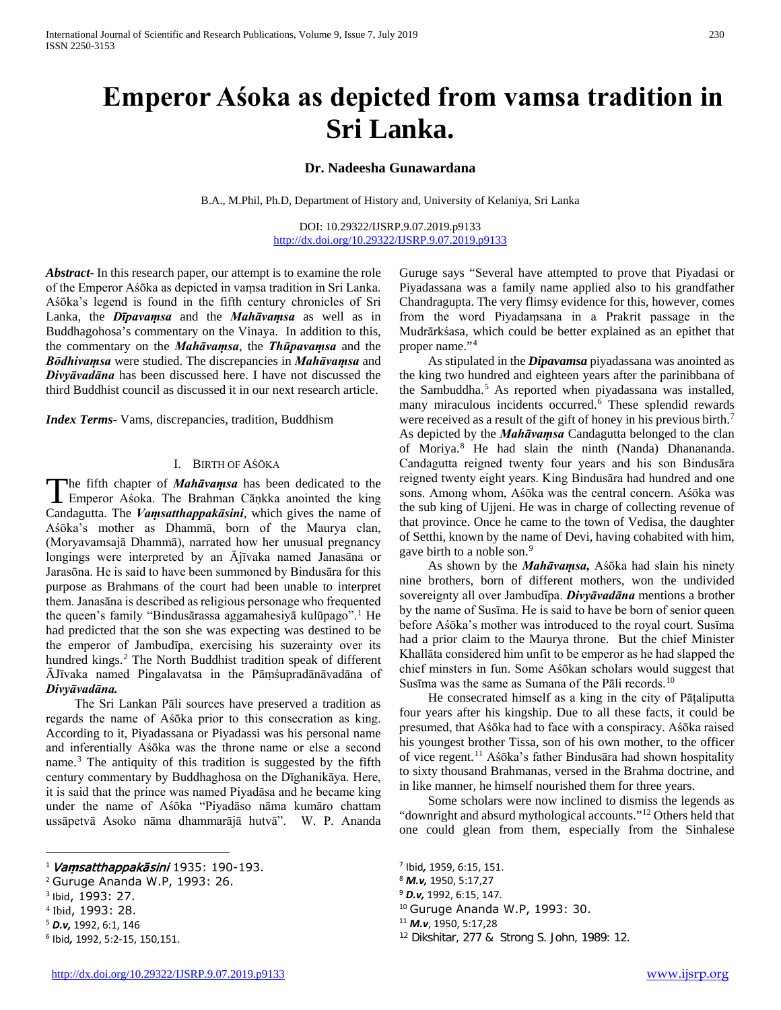# **Emperor Aśoka as depicted from vamsa tradition in Sri Lanka.**

# **Dr. Nadeesha Gunawardana**

B.A., M.Phil, Ph.D, Department of History and, University of Kelaniya, Sri Lanka

DOI: 10.29322/IJSRP.9.07.2019.p9133 <http://dx.doi.org/10.29322/IJSRP.9.07.2019.p9133>

*Abstract***-** In this research paper, our attempt is to examine the role of the Emperor Aśōka as depicted in vaṃsa tradition in Sri Lanka. Aśōka's legend is found in the fifth century chronicles of Sri Lanka, the *Dīpavamsa* and the *Mahāvamsa* as well as in Buddhagohosa's commentary on the Vinaya. In addition to this, the commentary on the *Mahāvaṃsa*, the *Thūpavaṃsa* and the *Bōdhivaṃsa* were studied. The discrepancies in *Mahāvaṃsa* and *Divyāvadāna* has been discussed here. I have not discussed the third Buddhist council as discussed it in our next research article.

*Index Terms*- Vams, discrepancies, tradition, Buddhism

#### I. BIRTH OF AŚŌKA

he fifth chapter of *Mahāvaṃsa* has been dedicated to the The fifth chapter of *Mahāvamsa* has been dedicated to the Emperor Asoka. The Brahman Cāṇkka anointed the king Candagutta. The *Vaṃsatthappakāsini*, which gives the name of Aśōka's mother as Dhammā, born of the Maurya clan, (Moryavamsajā Dhammā), narrated how her unusual pregnancy longings were interpreted by an Ājīvaka named Janasāna or Jarasōna. He is said to have been summoned by Bindusāra for this purpose as Brahmans of the court had been unable to interpret them. Janasāna is described as religious personage who frequented the queen's family "Bindusārassa aggamahesiyā kulūpago".[1](#page-0-0) He had predicted that the son she was expecting was destined to be the emperor of Jambudīpa, exercising his suzerainty over its hundred kings.<sup>[2](#page-0-1)</sup> The North Buddhist tradition speak of different ĀJīvaka named Pingalavatsa in the Pāṃśupradānāvadāna of *Divyāvadāna.*

 The Sri Lankan Pāli sources have preserved a tradition as regards the name of Aśōka prior to this consecration as king. According to it, Piyadassana or Piyadassi was his personal name and inferentially Aśōka was the throne name or else a second name.[3](#page-0-2) The antiquity of this tradition is suggested by the fifth century commentary by Buddhaghosa on the Dīghanikāya. Here, it is said that the prince was named Piyadāsa and he became king under the name of Aśōka "Piyadāso nāma kumāro chattam ussāpetvā Asoko nāma dhammarājā hutvā". W. P. Ananda

<span id="page-0-0"></span><sup>1</sup> Va**ṃ**satthappakāsini 1935: 190-193.

 $\overline{a}$ 

Guruge says "Several have attempted to prove that Piyadasi or Piyadassana was a family name applied also to his grandfather Chandragupta. The very flimsy evidence for this, however, comes from the word Piyadaṃsana in a Prakrit passage in the Mudrārkśasa, which could be better explained as an epithet that proper name."[4](#page-0-3)

 As stipulated in the *Dipavamsa* piyadassana was anointed as the king two hundred and eighteen years after the parinibbana of the Sambuddha.<sup>[5](#page-0-4)</sup> As reported when piyadassana was installed, many miraculous incidents occurred.[6](#page-0-5) These splendid rewards were received as a result of the gift of honey in his previous birth.<sup>[7](#page-0-0)</sup> As depicted by the *Mahāvaṃsa* Candagutta belonged to the clan of Moriya.[8](#page-0-1) He had slain the ninth (Nanda) Dhanananda. Candagutta reigned twenty four years and his son Bindusāra reigned twenty eight years. King Bindusāra had hundred and one sons. Among whom, Aśōka was the central concern. Aśōka was the sub king of Ujjeni. He was in charge of collecting revenue of that province. Once he came to the town of Vedisa, the daughter of Setthi, known by the name of Devi, having cohabited with him, gave birth to a noble son.<sup>[9](#page-0-6)</sup>

 As shown by the *Mahāvaṃsa,* Aśōka had slain his ninety nine brothers, born of different mothers, won the undivided sovereignty all over Jambudīpa. *Divyāvadāna* mentions a brother by the name of Susīma. He is said to have be born of senior queen before Aśōka's mother was introduced to the royal court. Susīma had a prior claim to the Maurya throne. But the chief Minister Khallāta considered him unfit to be emperor as he had slapped the chief minsters in fun. Some Aśōkan scholars would suggest that Susīma was the same as Sumana of the Pāli records.<sup>[10](#page-0-7)</sup>

 He consecrated himself as a king in the city of Pāṭaliputta four years after his kingship. Due to all these facts, it could be presumed, that Aśōka had to face with a conspiracy. Aśōka raised his youngest brother Tissa, son of his own mother, to the officer of vice regent.[11](#page-0-8) Aśōka's father Bindusāra had shown hospitality to sixty thousand Brahmanas, versed in the Brahma doctrine, and in like manner, he himself nourished them for three years.

 Some scholars were now inclined to dismiss the legends as "downright and absurd mythological accounts."<sup>[12](#page-0-9)</sup> Others held that one could glean from them, especially from the Sinhalese

<sup>10</sup> Guruge Ananda W.P, 1993: 30.

<span id="page-0-1"></span><sup>2</sup> Guruge Ananda W.P, 1993: 26.

<span id="page-0-6"></span><span id="page-0-2"></span><sup>3</sup> Ibid, 1993: 27.

<span id="page-0-7"></span><span id="page-0-3"></span><sup>4</sup> Ibid, 1993: 28.

<span id="page-0-8"></span><span id="page-0-4"></span><sup>5</sup> *D.v,* 1992, 6:1, 146

<span id="page-0-9"></span><span id="page-0-5"></span><sup>6</sup> Ibid*,* 1992, 5:2-15, 150,151.

<sup>7</sup> Ibid*,* 1959, 6:15, 151.

<sup>8</sup> *M.v,* 1950, 5:17,27

<sup>9</sup> *D.v,* 1992, 6:15, 147.

<sup>11</sup> *M.v*, 1950, 5:17,28

<sup>12</sup> Dikshitar, 277 & Strong S. John, 1989: 12.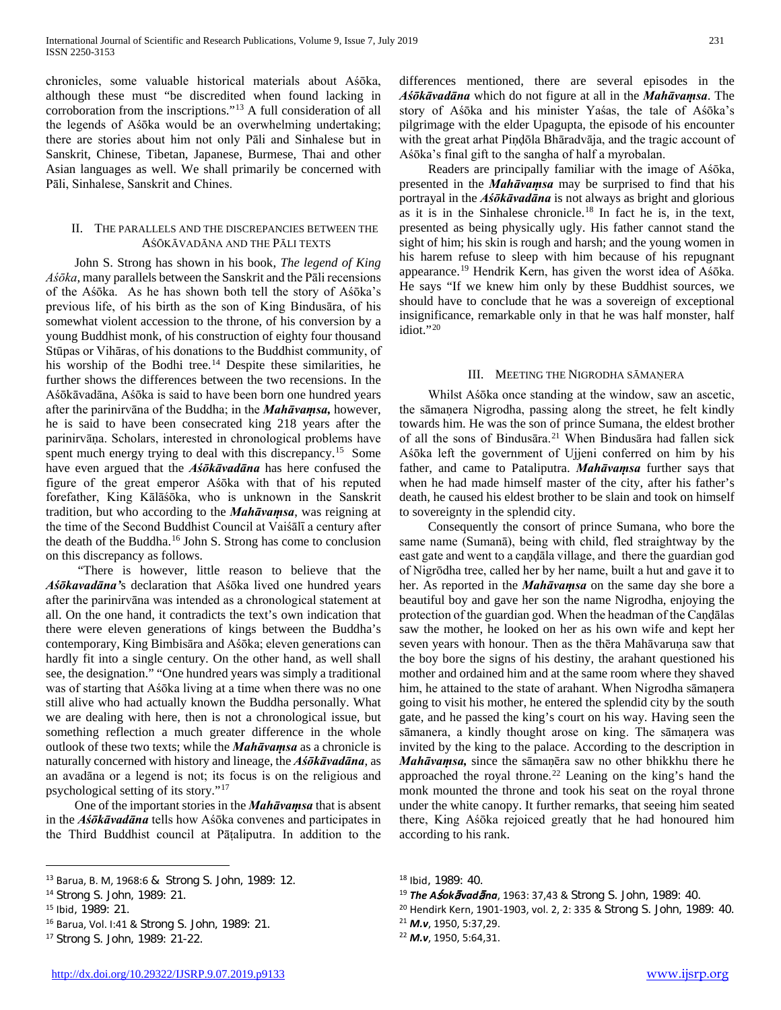chronicles, some valuable historical materials about Aśōka, although these must "be discredited when found lacking in corroboration from the inscriptions."[13](#page-1-0) A full consideration of all the legends of Aśōka would be an overwhelming undertaking; there are stories about him not only Pāli and Sinhalese but in Sanskrit, Chinese, Tibetan, Japanese, Burmese, Thai and other Asian languages as well. We shall primarily be concerned with Pāli, Sinhalese, Sanskrit and Chines.

## II. THE PARALLELS AND THE DISCREPANCIES BETWEEN THE AŚŌKĀVADĀNA AND THE PĀLI TEXTS

 John S. Strong has shown in his book, *The legend of King Aśōka*, many parallels between the Sanskrit and the Pāli recensions of the Aśōka. As he has shown both tell the story of Aśōka's previous life, of his birth as the son of King Bindusāra, of his somewhat violent accession to the throne, of his conversion by a young Buddhist monk, of his construction of eighty four thousand Stūpas or Vihāras, of his donations to the Buddhist community, of his worship of the Bodhi tree.<sup>[14](#page-1-1)</sup> Despite these similarities, he further shows the differences between the two recensions. In the Aśōkāvadāna, Aśōka is said to have been born one hundred years after the parinirvāna of the Buddha; in the *Mahāvaṃsa,* however, he is said to have been consecrated king 218 years after the parinirvāṇa. Scholars, interested in chronological problems have spent much energy trying to deal with this discrepancy.<sup>15</sup> Some have even argued that the *Aśōkāvadāna* has here confused the figure of the great emperor Aśōka with that of his reputed forefather, King Kālāśōka, who is unknown in the Sanskrit tradition, but who according to the *Mahāvaṃsa*, was reigning at the time of the Second Buddhist Council at Vaiśālī a century after the death of the Buddha.<sup>[16](#page-1-3)</sup> John S. Strong has come to conclusion on this discrepancy as follows.

 "There is however, little reason to believe that the *Aśōkavadāna'*s declaration that Aśōka lived one hundred years after the parinirvāna was intended as a chronological statement at all. On the one hand, it contradicts the text's own indication that there were eleven generations of kings between the Buddha's contemporary, King Bimbisāra and Aśōka; eleven generations can hardly fit into a single century. On the other hand, as well shall see, the designation." "One hundred years was simply a traditional was of starting that Aśōka living at a time when there was no one still alive who had actually known the Buddha personally. What we are dealing with here, then is not a chronological issue, but something reflection a much greater difference in the whole outlook of these two texts; while the *Mahāvaṃsa* as a chronicle is naturally concerned with history and lineage, the *Aśōkāvadāna*, as an avadāna or a legend is not; its focus is on the religious and psychological setting of its story."[17](#page-1-4)

 One of the important stories in the *Mahāvaṃsa* that is absent in the *Aśōkāvadāna* tells how Aśōka convenes and participates in the Third Buddhist council at Pāṭaliputra. In addition to the

 $\overline{a}$ 

differences mentioned, there are several episodes in the *Aśōkāvadāna* which do not figure at all in the *Mahāvaṃsa*. The story of Aśōka and his minister Yaśas, the tale of Aśōka's pilgrimage with the elder Upagupta, the episode of his encounter with the great arhat Piṇḍōla Bhāradvāja, and the tragic account of Aśōka's final gift to the sangha of half a myrobalan.

 Readers are principally familiar with the image of Aśōka, presented in the *Mahāvaṃsa* may be surprised to find that his portrayal in the *Aśōkāvadāna* is not always as bright and glorious as it is in the Sinhalese chronicle.[18](#page-1-0) In fact he is, in the text, presented as being physically ugly. His father cannot stand the sight of him; his skin is rough and harsh; and the young women in his harem refuse to sleep with him because of his repugnant appearance.[19](#page-1-1) Hendrik Kern, has given the worst idea of Aśōka. He says "If we knew him only by these Buddhist sources, we should have to conclude that he was a sovereign of exceptional insignificance, remarkable only in that he was half monster, half idiot."[20](#page-1-2)

## III. MEETING THE NIGRODHA SĀMANERA

 Whilst Aśōka once standing at the window, saw an ascetic, the sāmaṇera Nigrodha, passing along the street, he felt kindly towards him. He was the son of prince Sumana, the eldest brother of all the sons of Bindusāra.<sup>[21](#page-1-3)</sup> When Bindusāra had fallen sick Aśōka left the government of Ujjeni conferred on him by his father, and came to Pataliputra. *Mahāvaṃsa* further says that when he had made himself master of the city, after his father's death, he caused his eldest brother to be slain and took on himself to sovereignty in the splendid city.

 Consequently the consort of prince Sumana, who bore the same name (Sumanā), being with child, fled straightway by the east gate and went to a caṇḍāla village, and there the guardian god of Nigrōdha tree, called her by her name, built a hut and gave it to her. As reported in the *Mahāvaṃsa* on the same day she bore a beautiful boy and gave her son the name Nigrodha, enjoying the protection of the guardian god. When the headman of the Caṇḍālas saw the mother, he looked on her as his own wife and kept her seven years with honour. Then as the thēra Mahāvaruṇa saw that the boy bore the signs of his destiny, the arahant questioned his mother and ordained him and at the same room where they shaved him, he attained to the state of arahant. When Nigrodha sāmaṇera going to visit his mother, he entered the splendid city by the south gate, and he passed the king's court on his way. Having seen the sāmanera, a kindly thought arose on king. The sāmaṇera was invited by the king to the palace. According to the description in *Mahāvaṃsa,* since the sāmaṇēra saw no other bhikkhu there he approached the royal throne.<sup>[22](#page-1-5)</sup> Leaning on the king's hand the monk mounted the throne and took his seat on the royal throne under the white canopy. It further remarks, that seeing him seated there, King Aśōka rejoiced greatly that he had honoured him according to his rank.

<sup>20</sup> Hendirk Kern, 1901-1903, vol. 2, 2: 335 & Strong S. John, 1989: 40.

<span id="page-1-0"></span><sup>13</sup> Barua, B. M, 1968:6 & Strong S. John, 1989: 12.

<span id="page-1-1"></span><sup>14</sup> Strong S. John, 1989: 21.

<span id="page-1-2"></span><sup>15</sup> Ibid, 1989: 21.

<span id="page-1-3"></span><sup>16</sup> Barua, Vol. I:41 & Strong S. John, 1989: 21.

<span id="page-1-5"></span><span id="page-1-4"></span><sup>17</sup> Strong S. John, 1989: 21-22.

<sup>18</sup> Ibid, 1989: 40.

<sup>19</sup> *The A*ś*ok*ā*vad*ā*na*, 1963: 37,43 & Strong S. John, 1989: 40.

<sup>21</sup> *M.v*, 1950, 5:37,29.

<sup>22</sup> *M.v*, 1950, 5:64,31.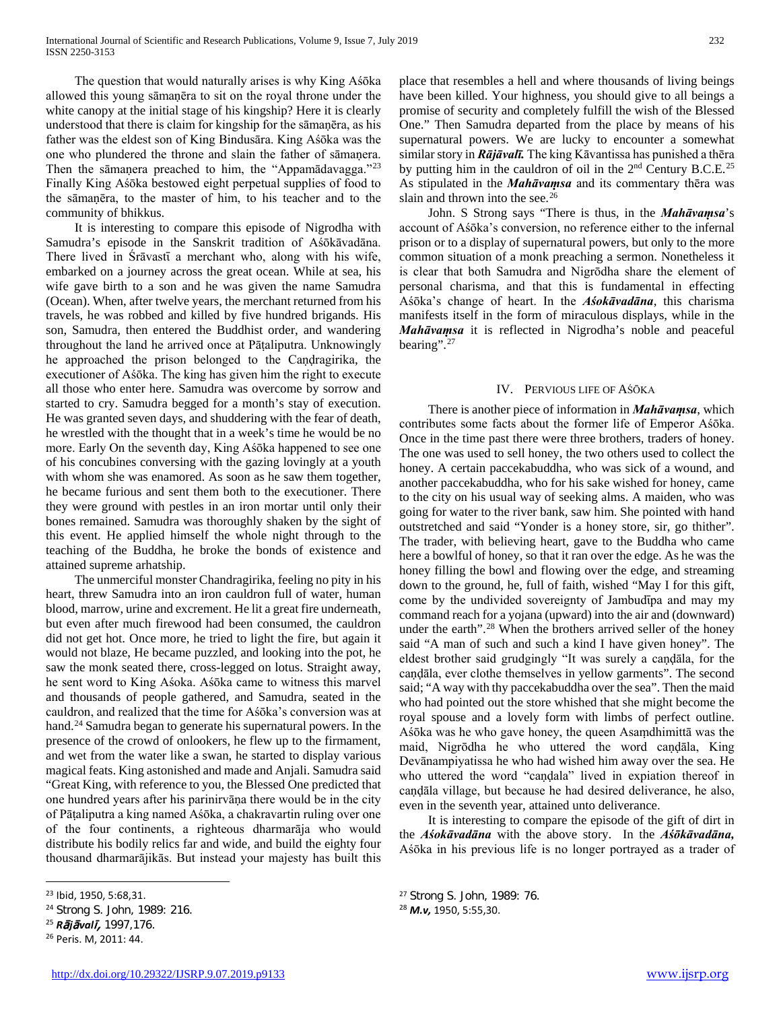The question that would naturally arises is why King Aśōka allowed this young sāmaṇēra to sit on the royal throne under the white canopy at the initial stage of his kingship? Here it is clearly understood that there is claim for kingship for the sāmaṇēra, as his father was the eldest son of King Bindusāra. King Aśōka was the one who plundered the throne and slain the father of sāmaṇera. Then the sāmaṇera preached to him, the "Appamādavagga."[23](#page-2-0) Finally King Aśōka bestowed eight perpetual supplies of food to the sāmaṇēra, to the master of him, to his teacher and to the community of bhikkus.

 It is interesting to compare this episode of Nigrodha with Samudra's episode in the Sanskrit tradition of Aśōkāvadāna. There lived in Śrāvastī a merchant who, along with his wife, embarked on a journey across the great ocean. While at sea, his wife gave birth to a son and he was given the name Samudra (Ocean). When, after twelve years, the merchant returned from his travels, he was robbed and killed by five hundred brigands. His son, Samudra, then entered the Buddhist order, and wandering throughout the land he arrived once at Pāṭaliputra. Unknowingly he approached the prison belonged to the Candragirika, the executioner of Aśōka. The king has given him the right to execute all those who enter here. Samudra was overcome by sorrow and started to cry. Samudra begged for a month's stay of execution. He was granted seven days, and shuddering with the fear of death, he wrestled with the thought that in a week's time he would be no more. Early On the seventh day, King Aśōka happened to see one of his concubines conversing with the gazing lovingly at a youth with whom she was enamored. As soon as he saw them together, he became furious and sent them both to the executioner. There they were ground with pestles in an iron mortar until only their bones remained. Samudra was thoroughly shaken by the sight of this event. He applied himself the whole night through to the teaching of the Buddha, he broke the bonds of existence and attained supreme arhatship.

 The unmerciful monster Chandragirika, feeling no pity in his heart, threw Samudra into an iron cauldron full of water, human blood, marrow, urine and excrement. He lit a great fire underneath, but even after much firewood had been consumed, the cauldron did not get hot. Once more, he tried to light the fire, but again it would not blaze, He became puzzled, and looking into the pot, he saw the monk seated there, cross-legged on lotus. Straight away, he sent word to King Aśoka. Aśōka came to witness this marvel and thousands of people gathered, and Samudra, seated in the cauldron, and realized that the time for Aśōka's conversion was at hand.<sup>24</sup> Samudra began to generate his supernatural powers. In the presence of the crowd of onlookers, he flew up to the firmament, and wet from the water like a swan, he started to display various magical feats. King astonished and made and Anjali. Samudra said "Great King, with reference to you, the Blessed One predicted that one hundred years after his parinirvāṇa there would be in the city of Pāṭaliputra a king named Aśōka, a chakravartin ruling over one of the four continents, a righteous dharmarāja who would distribute his bodily relics far and wide, and build the eighty four thousand dharmarājikās. But instead your majesty has built this

place that resembles a hell and where thousands of living beings have been killed. Your highness, you should give to all beings a promise of security and completely fulfill the wish of the Blessed One." Then Samudra departed from the place by means of his supernatural powers. We are lucky to encounter a somewhat similar story in *Rājāvalī.* The king Kāvantissa has punished a thēra by putting him in the cauldron of oil in the 2<sup>nd</sup> Century B.C.E.<sup>[25](#page-2-2)</sup> As stipulated in the *Mahāvaṃsa* and its commentary thēra was slain and thrown into the see.<sup>[26](#page-2-3)</sup>

 John. S Strong says "There is thus, in the *Mahāvaṃsa*'s account of Aśōka's conversion, no reference either to the infernal prison or to a display of supernatural powers, but only to the more common situation of a monk preaching a sermon. Nonetheless it is clear that both Samudra and Nigrōdha share the element of personal charisma, and that this is fundamental in effecting Aśōka's change of heart. In the *Aśokāvadāna*, this charisma manifests itself in the form of miraculous displays, while in the *Mahāvaṃsa* it is reflected in Nigrodha's noble and peaceful bearing".<sup>[27](#page-2-0)</sup>

## IV. PERVIOUS LIFE OF AŚŌKA

 There is another piece of information in *Mahāvaṃsa*, which contributes some facts about the former life of Emperor Aśōka. Once in the time past there were three brothers, traders of honey. The one was used to sell honey, the two others used to collect the honey. A certain paccekabuddha, who was sick of a wound, and another paccekabuddha, who for his sake wished for honey, came to the city on his usual way of seeking alms. A maiden, who was going for water to the river bank, saw him. She pointed with hand outstretched and said "Yonder is a honey store, sir, go thither". The trader, with believing heart, gave to the Buddha who came here a bowlful of honey, so that it ran over the edge. As he was the honey filling the bowl and flowing over the edge, and streaming down to the ground, he, full of faith, wished "May I for this gift, come by the undivided sovereignty of Jambudūpa and may my command reach for a yojana (upward) into the air and (downward) under the earth".<sup>[28](#page-2-1)</sup> When the brothers arrived seller of the honey said "A man of such and such a kind I have given honey". The eldest brother said grudgingly "It was surely a caṇḍāla, for the caṇḍāla, ever clothe themselves in yellow garments". The second said; "A way with thy paccekabuddha over the sea". Then the maid who had pointed out the store whished that she might become the royal spouse and a lovely form with limbs of perfect outline. Aśōka was he who gave honey, the queen Asaṃdhimittā was the maid, Nigrōdha he who uttered the word caṇḍāla, King Devānampiyatissa he who had wished him away over the sea. He who uttered the word "caṇḍala" lived in expiation thereof in caṇḍāla village, but because he had desired deliverance, he also, even in the seventh year, attained unto deliverance.

 It is interesting to compare the episode of the gift of dirt in the *Aśokāvadāna* with the above story. In the *Aśōkāvadāna,* Aśōka in his previous life is no longer portrayed as a trader of

 $\overline{a}$ 

<span id="page-2-0"></span><sup>23</sup> Ibid, 1950, 5:68,31.

<span id="page-2-1"></span><sup>24</sup> Strong S. John, 1989: 216.

<span id="page-2-2"></span><sup>25</sup> *R*ā*j*ā*val*ī, 1997,176.

<span id="page-2-3"></span><sup>26</sup> Peris. M, 2011: 44.

<sup>27</sup> Strong S. John, 1989: 76.

<sup>28</sup> *M.v,* 1950, 5:55,30.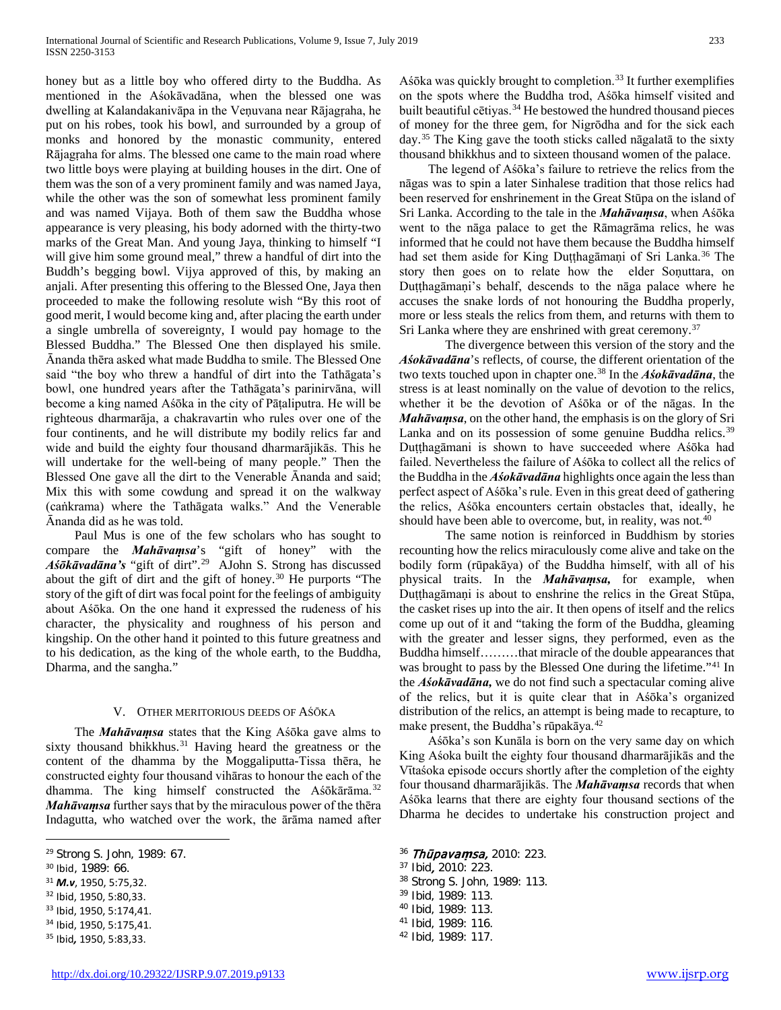honey but as a little boy who offered dirty to the Buddha. As mentioned in the Aśokāvadāna, when the blessed one was dwelling at Kalandakanivāpa in the Veṇuvana near Rājagṛaha, he put on his robes, took his bowl, and surrounded by a group of monks and honored by the monastic community, entered Rājagṛaha for alms. The blessed one came to the main road where two little boys were playing at building houses in the dirt. One of them was the son of a very prominent family and was named Jaya, while the other was the son of somewhat less prominent family and was named Vijaya. Both of them saw the Buddha whose appearance is very pleasing, his body adorned with the thirty-two marks of the Great Man. And young Jaya, thinking to himself "I will give him some ground meal," threw a handful of dirt into the Buddh's begging bowl. Vijya approved of this, by making an anjali. After presenting this offering to the Blessed One, Jaya then proceeded to make the following resolute wish "By this root of good merit, I would become king and, after placing the earth under a single umbrella of sovereignty, I would pay homage to the Blessed Buddha." The Blessed One then displayed his smile. Ānanda thēra asked what made Buddha to smile. The Blessed One said "the boy who threw a handful of dirt into the Tathāgata's bowl, one hundred years after the Tathāgata's parinirvāna, will become a king named Aśōka in the city of Pāṭaliputra. He will be righteous dharmarāja, a chakravartin who rules over one of the four continents, and he will distribute my bodily relics far and wide and build the eighty four thousand dharmarājikās. This he will undertake for the well-being of many people." Then the Blessed One gave all the dirt to the Venerable Ānanda and said; Mix this with some cowdung and spread it on the walkway (caṅkrama) where the Tathāgata walks." And the Venerable Ānanda did as he was told.

 Paul Mus is one of the few scholars who has sought to compare the *Mahāvaṃsa*'s "gift of honey" with the *Aśōkāvadāna's* "gift of dirt".[29](#page-3-0) AJohn S. Strong has discussed about the gift of dirt and the gift of honey.[30](#page-3-1) He purports "The story of the gift of dirt was focal point for the feelings of ambiguity about Aśōka. On the one hand it expressed the rudeness of his character, the physicality and roughness of his person and kingship. On the other hand it pointed to this future greatness and to his dedication, as the king of the whole earth, to the Buddha, Dharma, and the sangha."

## V. OTHER MERITORIOUS DEEDS OF AŚŌKA

 The *Mahāvaṃsa* states that the King Aśōka gave alms to sixty thousand bhikkhus.<sup>[31](#page-3-2)</sup> Having heard the greatness or the content of the dhamma by the Moggaliputta-Tissa thēra, he constructed eighty four thousand vihāras to honour the each of the dhamma. The king himself constructed the Asokarama.<sup>32</sup> *Mahāvaṃsa* further says that by the miraculous power of the thēra Indagutta, who watched over the work, the ārāma named after

 $\overline{a}$ 

<span id="page-3-9"></span><span id="page-3-4"></span><sup>33</sup> Ibid, 1950, 5:174,41.

Aśōka was quickly brought to completion.[33](#page-3-4) It further exemplifies on the spots where the Buddha trod, Aśōka himself visited and built beautiful cētiyas.<sup>[34](#page-3-5)</sup> He bestowed the hundred thousand pieces of money for the three gem, for Nigrōdha and for the sick each day.[35](#page-3-6) The King gave the tooth sticks called nāgalatā to the sixty thousand bhikkhus and to sixteen thousand women of the palace.

 The legend of Aśōka's failure to retrieve the relics from the nāgas was to spin a later Sinhalese tradition that those relics had been reserved for enshrinement in the Great Stūpa on the island of Sri Lanka. According to the tale in the *Mahāvaṃsa*, when Aśōka went to the nāga palace to get the Rāmagrāma relics, he was informed that he could not have them because the Buddha himself had set them aside for King Duṭṭhagāmaṇi of Sri Lanka.<sup>[36](#page-3-0)</sup> The story then goes on to relate how the elder Soṇuttara, on Duṭṭhagāmaṇi's behalf, descends to the nāga palace where he accuses the snake lords of not honouring the Buddha properly, more or less steals the relics from them, and returns with them to Sri Lanka where they are enshrined with great ceremony.<sup>[37](#page-3-1)</sup>

The divergence between this version of the story and the *Aśokāvadāna*'s reflects, of course, the different orientation of the two texts touched upon in chapter one.[38](#page-3-7) In the *Aśokāvadāna*, the stress is at least nominally on the value of devotion to the relics, whether it be the devotion of Aśōka or of the nāgas. In the *Mahāvaṃsa*, on the other hand, the emphasis is on the glory of Sri Lanka and on its possession of some genuine Buddha relics.<sup>[39](#page-3-8)</sup> Dutthagāmani is shown to have succeeded where Aśōka had failed. Nevertheless the failure of Aśōka to collect all the relics of the Buddha in the *Aśokāvadāna* highlights once again the less than perfect aspect of Aśōka's rule. Even in this great deed of gathering the relics, Aśōka encounters certain obstacles that, ideally, he should have been able to overcome, but, in reality, was not.<sup>[40](#page-3-9)</sup>

The same notion is reinforced in Buddhism by stories recounting how the relics miraculously come alive and take on the bodily form (rūpakāya) of the Buddha himself, with all of his physical traits. In the *Mahāvaṃsa,* for example, when Duṭṭhagāmaṇi is about to enshrine the relics in the Great Stūpa, the casket rises up into the air. It then opens of itself and the relics come up out of it and "taking the form of the Buddha, gleaming with the greater and lesser signs, they performed, even as the Buddha himself………that miracle of the double appearances that was brought to pass by the Blessed One during the lifetime."<sup>[41](#page-3-10)</sup> In the *Aśokāvadāna,* we do not find such a spectacular coming alive of the relics, but it is quite clear that in Aśōka's organized distribution of the relics, an attempt is being made to recapture, to make present, the Buddha's rūpakāya.<sup>[42](#page-3-11)</sup>

 Aśōka's son Kunāla is born on the very same day on which King Aśoka built the eighty four thousand dharmarājikās and the Vītaśoka episode occurs shortly after the completion of the eighty four thousand dharmarājikās. The *Mahāvaṃsa* records that when Aśōka learns that there are eighty four thousand sections of the Dharma he decides to undertake his construction project and

- <sup>36</sup> Thūpava**ṃ**sa, 2010: 223.
- <sup>37</sup> Ibid, 2010: 223.
- <sup>38</sup> Strong S. John, 1989: 113.
- <sup>39</sup> Ibid, 1989: 113.
- <sup>40</sup> Ibid, 1989: 113.
- <sup>41</sup> Ibid, 1989: 116.
- <sup>42</sup> Ibid, 1989: 117.

<span id="page-3-0"></span><sup>29</sup> Strong S. John, 1989: 67.

<span id="page-3-1"></span><sup>30</sup> Ibid, 1989: 66.

<span id="page-3-7"></span><span id="page-3-2"></span><sup>31</sup> *M.v*, 1950, 5:75,32.

<span id="page-3-8"></span><span id="page-3-3"></span><sup>32</sup> Ibid, 1950, 5:80,33.

<span id="page-3-11"></span><span id="page-3-10"></span><span id="page-3-5"></span><sup>34</sup> Ibid, 1950, 5:175,41.

<span id="page-3-6"></span><sup>35</sup> Ibid*,* 1950, 5:83,33.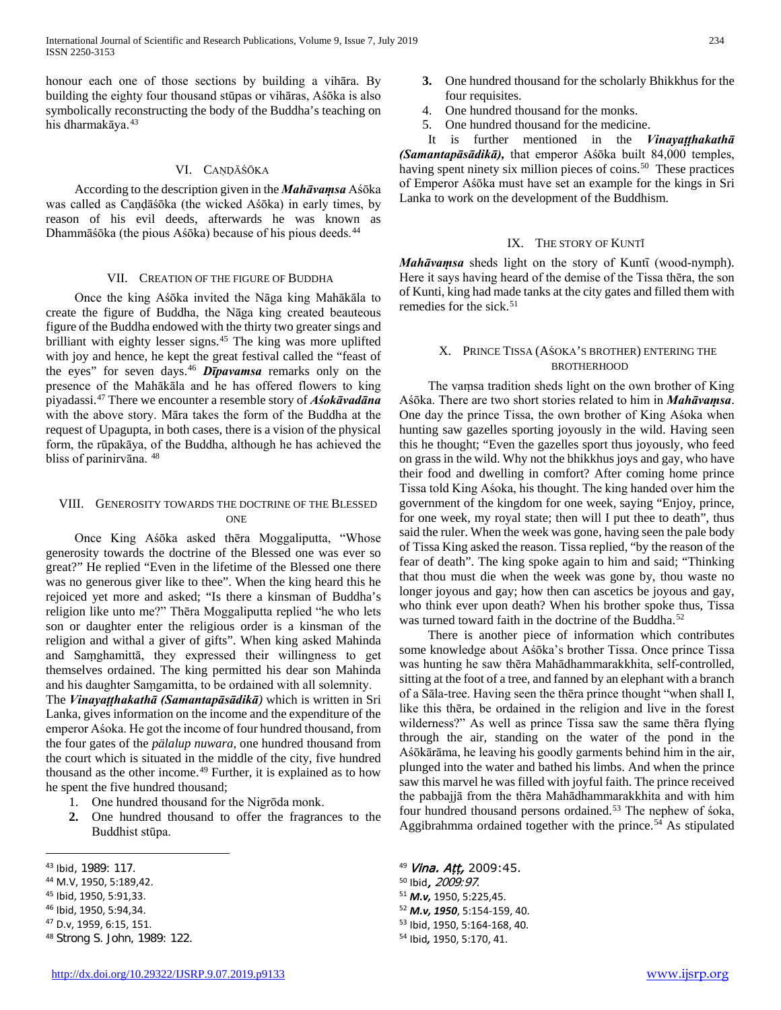honour each one of those sections by building a vihāra. By building the eighty four thousand stūpas or vihāras, Aśōka is also symbolically reconstructing the body of the Buddha's teaching on his dharmakāya.<sup>[43](#page-4-0)</sup>

## VI. CAṆḌĀŚŌKA

 According to the description given in the *Mahāvaṃsa* Aśōka was called as Caṇḍāśōka (the wicked Aśōka) in early times, by reason of his evil deeds, afterwards he was known as Dhammāśōka (the pious Aśōka) because of his pious deeds.[44](#page-4-1)

#### VII. CREATION OF THE FIGURE OF BUDDHA

 Once the king Aśōka invited the Nāga king Mahākāla to create the figure of Buddha, the Nāga king created beauteous figure of the Buddha endowed with the thirty two greater sings and brilliant with eighty lesser signs.[45](#page-4-2) The king was more uplifted with joy and hence, he kept the great festival called the "feast of the eyes" for seven days.<sup>[46](#page-4-3)</sup> **Dipavamsa** remarks only on the presence of the Mahākāla and he has offered flowers to king piyadassi.[47](#page-4-4) There we encounter a resemble story of *Aśokāvadāna*  with the above story. Māra takes the form of the Buddha at the request of Upagupta, in both cases, there is a vision of the physical form, the rūpakāya, of the Buddha, although he has achieved the bliss of parinirvāna. [48](#page-4-5)

## VIII. GENEROSITY TOWARDS THE DOCTRINE OF THE BLESSED **ONE**

 Once King Aśōka asked thēra Moggaliputta, "Whose generosity towards the doctrine of the Blessed one was ever so great?" He replied "Even in the lifetime of the Blessed one there was no generous giver like to thee". When the king heard this he rejoiced yet more and asked; "Is there a kinsman of Buddha's religion like unto me?" Thēra Moggaliputta replied "he who lets son or daughter enter the religious order is a kinsman of the religion and withal a giver of gifts". When king asked Mahinda and Saṃghamittā, they expressed their willingness to get themselves ordained. The king permitted his dear son Mahinda and his daughter Saṃgamitta, to be ordained with all solemnity.

The *Vinayaṭṭhakathā (Samantapāsādikā)* which is written in Sri Lanka, gives information on the income and the expenditure of the emperor Aśoka. He got the income of four hundred thousand, from the four gates of the *pälalup nuwara*, one hundred thousand from the court which is situated in the middle of the city, five hundred thousand as the other income.<sup>[49](#page-4-0)</sup> Further, it is explained as to how he spent the five hundred thousand;

- 1. One hundred thousand for the Nigrōda monk.
- **2.** One hundred thousand to offer the fragrances to the Buddhist stūpa.

 $\overline{a}$ 

<span id="page-4-1"></span><sup>44</sup> M.V, 1950, 5:189,42.

- <span id="page-4-6"></span><span id="page-4-3"></span><sup>46</sup> Ibid, 1950, 5:94,34.
- <span id="page-4-4"></span><sup>47</sup> D.v, 1959, 6:15, 151.
- <span id="page-4-5"></span><sup>48</sup> Strong S. John, 1989: 122.
- **3.** One hundred thousand for the scholarly Bhikkhus for the four requisites.
- 4. One hundred thousand for the monks.
- 5. One hundred thousand for the medicine.

 It is further mentioned in the *Vinayaṭṭhakathā (Samantapāsādikā),* that emperor Aśōka built 84,000 temples, having spent ninety six million pieces of coins.<sup>50</sup> These practices of Emperor Aśōka must have set an example for the kings in Sri Lanka to work on the development of the Buddhism.

## IX. THE STORY OF KUNTĪ

*Mahāvamsa* sheds light on the story of Kuntī (wood-nymph). Here it says having heard of the demise of the Tissa thēra, the son of Kunti, king had made tanks at the city gates and filled them with remedies for the sick. $51$ 

## X. PRINCE TISSA (AŚOKA'S BROTHER) ENTERING THE BROTHERHOOD

 The vaṃsa tradition sheds light on the own brother of King Aśōka. There are two short stories related to him in *Mahāvaṃsa*. One day the prince Tissa, the own brother of King Aśoka when hunting saw gazelles sporting joyously in the wild. Having seen this he thought; "Even the gazelles sport thus joyously, who feed on grass in the wild. Why not the bhikkhus joys and gay, who have their food and dwelling in comfort? After coming home prince Tissa told King Aśoka, his thought. The king handed over him the government of the kingdom for one week, saying "Enjoy, prince, for one week, my royal state; then will I put thee to death", thus said the ruler. When the week was gone, having seen the pale body of Tissa King asked the reason. Tissa replied, "by the reason of the fear of death". The king spoke again to him and said; "Thinking that thou must die when the week was gone by, thou waste no longer joyous and gay; how then can ascetics be joyous and gay, who think ever upon death? When his brother spoke thus, Tissa was turned toward faith in the doctrine of the Buddha.<sup>[52](#page-4-6)</sup>

 There is another piece of information which contributes some knowledge about Aśōka's brother Tissa. Once prince Tissa was hunting he saw thēra Mahādhammarakkhita, self-controlled, sitting at the foot of a tree, and fanned by an elephant with a branch of a Sāla-tree. Having seen the thēra prince thought "when shall I, like this thēra, be ordained in the religion and live in the forest wilderness?" As well as prince Tissa saw the same thēra flying through the air, standing on the water of the pond in the Aśōkārāma, he leaving his goodly garments behind him in the air, plunged into the water and bathed his limbs. And when the prince saw this marvel he was filled with joyful faith. The prince received the pabbajjā from the thēra Mahādhammarakkhita and with him four hundred thousand persons ordained.<sup>[53](#page-4-4)</sup> The nephew of  $\delta$ oka, Aggibrahmma ordained together with the prince.<sup>[54](#page-4-5)</sup> As stipulated

<sup>54</sup> Ibid*,* 1950, 5:170, 41.

<span id="page-4-0"></span><sup>43</sup> Ibid, 1989: 117.

<span id="page-4-2"></span><sup>45</sup> Ibid, 1950, 5:91,33.

<sup>49</sup> Vina. Att, 2009:45. <sup>50</sup> Ibid, 2009:97.

<sup>51</sup> *M.v,* 1950, 5:225,45. <sup>52</sup> *M.v, 1950*, 5:154-159, 40. <sup>53</sup> Ibid, 1950, 5:164-168, 40.